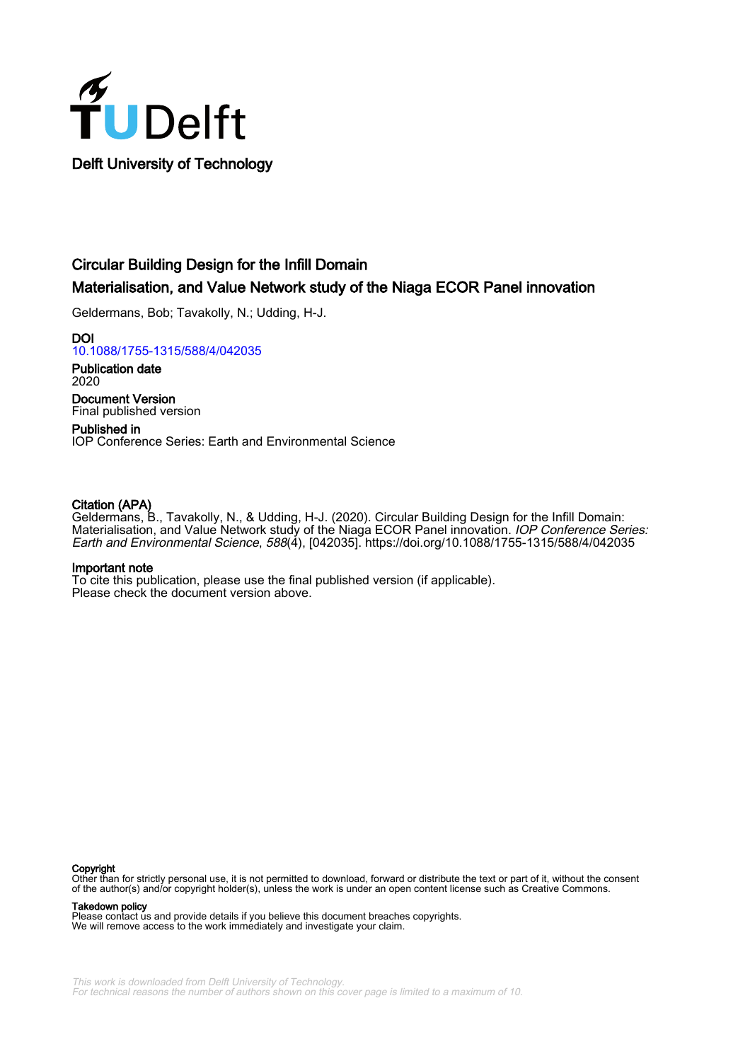

## Circular Building Design for the Infill Domain

## Materialisation, and Value Network study of the Niaga ECOR Panel innovation

Geldermans, Bob; Tavakolly, N.; Udding, H-J.

DOI [10.1088/1755-1315/588/4/042035](https://doi.org/10.1088/1755-1315/588/4/042035)

Publication date 2020

Document Version Final published version

Published in IOP Conference Series: Earth and Environmental Science

#### Citation (APA)

Geldermans, B., Tavakolly, N., & Udding, H-J. (2020). Circular Building Design for the Infill Domain: Materialisation, and Value Network study of the Niaga ECOR Panel innovation. *IOP Conference Series:* Earth and Environmental Science, 588(4), [042035]. <https://doi.org/10.1088/1755-1315/588/4/042035>

#### Important note

To cite this publication, please use the final published version (if applicable). Please check the document version above.

#### Copyright

Other than for strictly personal use, it is not permitted to download, forward or distribute the text or part of it, without the consent of the author(s) and/or copyright holder(s), unless the work is under an open content license such as Creative Commons.

Takedown policy

Please contact us and provide details if you believe this document breaches copyrights. We will remove access to the work immediately and investigate your claim.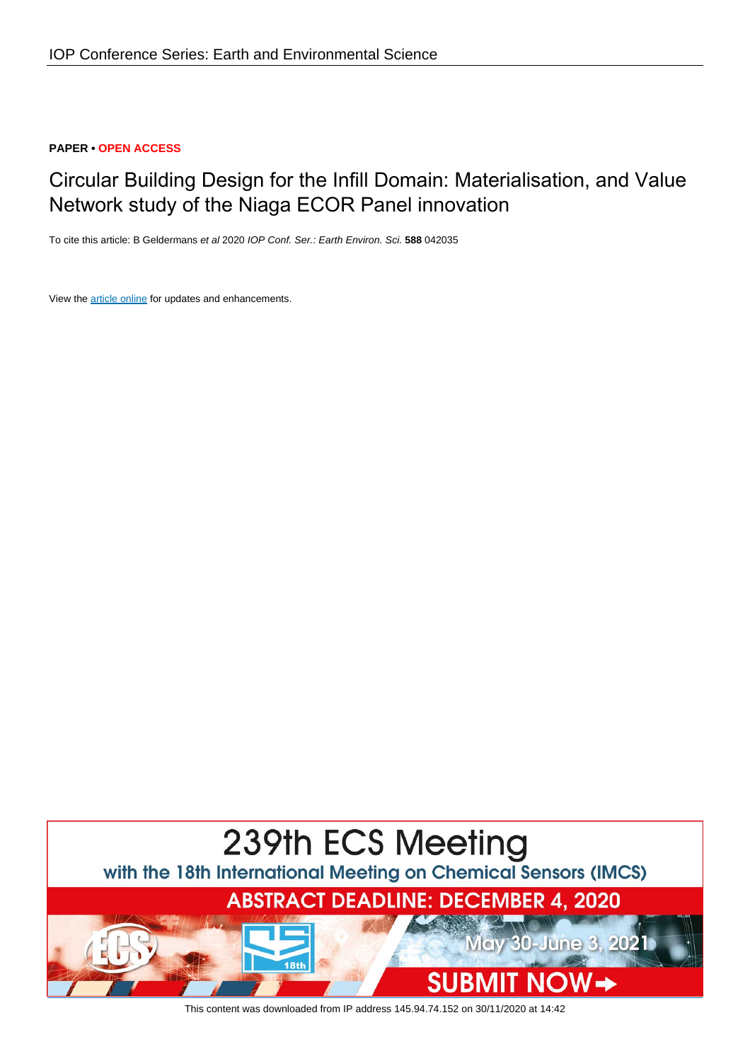### **PAPER • OPEN ACCESS**

# Circular Building Design for the Infill Domain: Materialisation, and Value Network study of the Niaga ECOR Panel innovation

To cite this article: B Geldermans et al 2020 IOP Conf. Ser.: Earth Environ. Sci. **588** 042035

View the [article online](https://doi.org/10.1088/1755-1315/588/4/042035) for updates and enhancements.



This content was downloaded from IP address 145.94.74.152 on 30/11/2020 at 14:42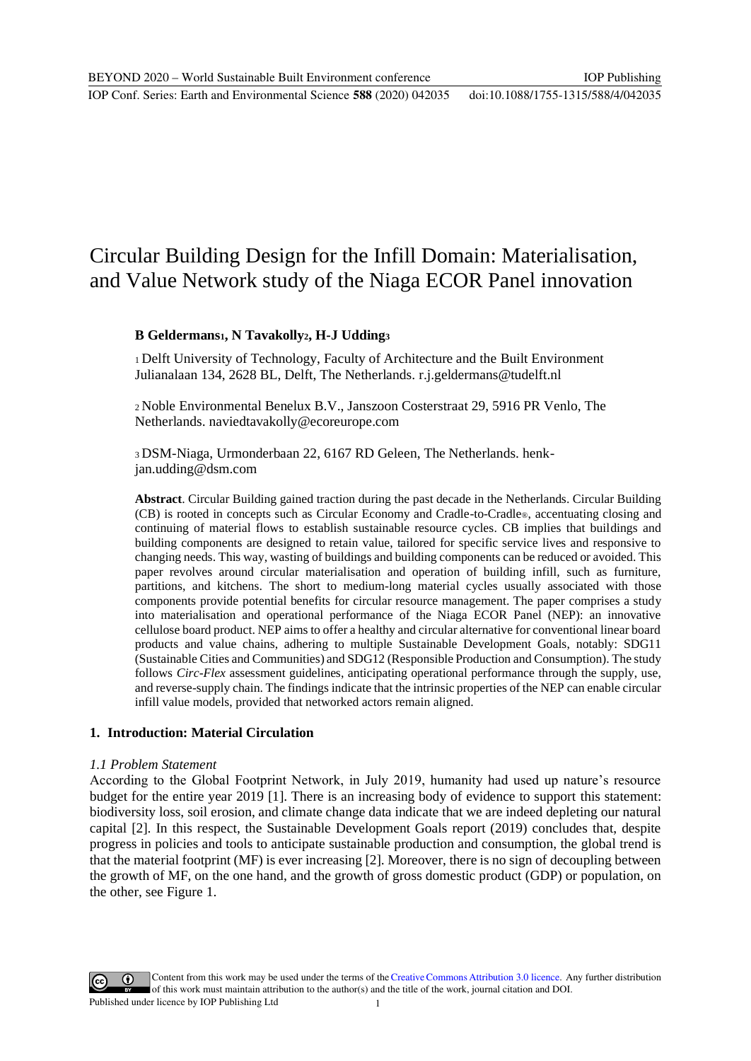IOP Conf. Series: Earth and Environmental Science **588** (2020) 042035 doi:10.1088/1755-1315/588/4/042035

# Circular Building Design for the Infill Domain: Materialisation, and Value Network study of the Niaga ECOR Panel innovation

## **B Geldermans1, N Tavakolly2, H-J Udding<sup>3</sup>**

<sup>1</sup>Delft University of Technology, Faculty of Architecture and the Built Environment Julianalaan 134, 2628 BL, Delft, The Netherlands. [r.j.geldermans@tudelft.nl](mailto:r.j.geldermans@tudelft.nl)

<sup>2</sup>Noble Environmental Benelux B.V., Janszoon Costerstraat 29, 5916 PR Venlo, The Netherlands[. naviedtavakolly@ecoreurope.com](mailto:naviedtavakolly@ecoreurope.com)

3 DSM-Niaga, Urmonderbaan 22, 6167 RD Geleen, The Netherlands. henkjan.udding@dsm.com

**Abstract**. Circular Building gained traction during the past decade in the Netherlands. Circular Building (CB) is rooted in concepts such as Circular Economy and Cradle-to-Cradle®, accentuating closing and continuing of material flows to establish sustainable resource cycles. CB implies that buildings and building components are designed to retain value, tailored for specific service lives and responsive to changing needs. This way, wasting of buildings and building components can be reduced or avoided. This paper revolves around circular materialisation and operation of building infill, such as furniture, partitions, and kitchens. The short to medium-long material cycles usually associated with those components provide potential benefits for circular resource management. The paper comprises a study into materialisation and operational performance of the Niaga ECOR Panel (NEP): an innovative cellulose board product. NEP aims to offer a healthy and circular alternative for conventional linear board products and value chains, adhering to multiple Sustainable Development Goals, notably: SDG11 (Sustainable Cities and Communities) and SDG12 (Responsible Production and Consumption). The study follows *Circ-Flex* assessment guidelines, anticipating operational performance through the supply, use, and reverse-supply chain. The findings indicate that the intrinsic properties of the NEP can enable circular infill value models, provided that networked actors remain aligned.

### **1. Introduction: Material Circulation**

#### *1.1 Problem Statement*

According to the Global Footprint Network, in July 2019, humanity had used up nature's resource budget for the entire year 2019 [1]. There is an increasing body of evidence to support this statement: biodiversity loss, soil erosion, and climate change data indicate that we are indeed depleting our natural capital [2]. In this respect, the Sustainable Development Goals report (2019) concludes that, despite progress in policies and tools to anticipate sustainable production and consumption, the global trend is that the material footprint (MF) is ever increasing [2]. Moreover, there is no sign of decoupling between the growth of MF, on the one hand, and the growth of gross domestic product (GDP) or population, on the other, see Figure 1.

Content from this work may be used under the terms of theCreative Commons Attribution 3.0 licence. Any further distribution of this work must maintain attribution to the author(s) and the title of the work, journal citation and DOI. Published under licence by IOP Publishing Ltd 1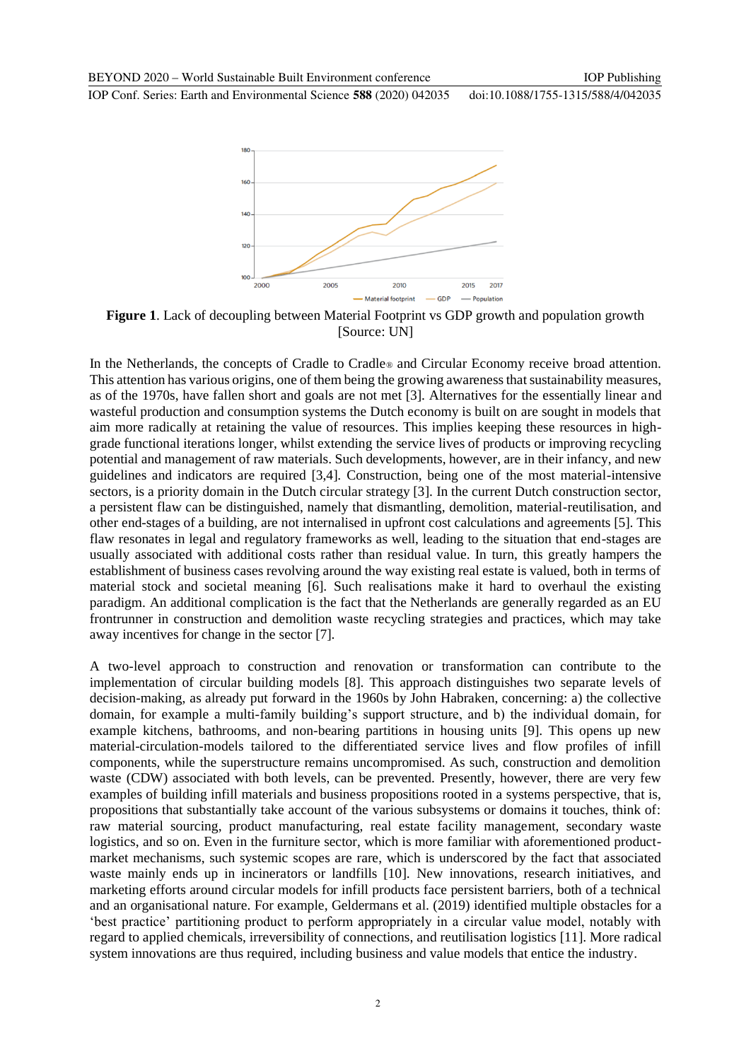IOP Conf. Series: Earth and Environmental Science **588** (2020) 042035 doi:10.1088/1755-1315/588/4/042035



**Figure 1**. Lack of decoupling between Material Footprint vs GDP growth and population growth [Source: UN]

In the Netherlands, the concepts of Cradle to Cradle<sup>®</sup> and Circular Economy receive broad attention. This attention has various origins, one of them being the growing awareness that sustainability measures, as of the 1970s, have fallen short and goals are not met [3]. Alternatives for the essentially linear and wasteful production and consumption systems the Dutch economy is built on are sought in models that aim more radically at retaining the value of resources. This implies keeping these resources in highgrade functional iterations longer, whilst extending the service lives of products or improving recycling potential and management of raw materials. Such developments, however, are in their infancy, and new guidelines and indicators are required [3,4]. Construction, being one of the most material-intensive sectors, is a priority domain in the Dutch circular strategy [3]. In the current Dutch construction sector, a persistent flaw can be distinguished, namely that dismantling, demolition, material-reutilisation, and other end-stages of a building, are not internalised in upfront cost calculations and agreements [5]. This flaw resonates in legal and regulatory frameworks as well, leading to the situation that end-stages are usually associated with additional costs rather than residual value. In turn, this greatly hampers the establishment of business cases revolving around the way existing real estate is valued, both in terms of material stock and societal meaning [6]. Such realisations make it hard to overhaul the existing paradigm. An additional complication is the fact that the Netherlands are generally regarded as an EU frontrunner in construction and demolition waste recycling strategies and practices, which may take away incentives for change in the sector [7].

A two-level approach to construction and renovation or transformation can contribute to the implementation of circular building models [8]. This approach distinguishes two separate levels of decision-making, as already put forward in the 1960s by John Habraken, concerning: a) the collective domain, for example a multi-family building's support structure, and b) the individual domain, for example kitchens, bathrooms, and non-bearing partitions in housing units [9]. This opens up new material-circulation-models tailored to the differentiated service lives and flow profiles of infill components, while the superstructure remains uncompromised. As such, construction and demolition waste (CDW) associated with both levels, can be prevented. Presently, however, there are very few examples of building infill materials and business propositions rooted in a systems perspective, that is, propositions that substantially take account of the various subsystems or domains it touches, think of: raw material sourcing, product manufacturing, real estate facility management, secondary waste logistics, and so on. Even in the furniture sector, which is more familiar with aforementioned productmarket mechanisms, such systemic scopes are rare, which is underscored by the fact that associated waste mainly ends up in incinerators or landfills [10]. New innovations, research initiatives, and marketing efforts around circular models for infill products face persistent barriers, both of a technical and an organisational nature. For example, Geldermans et al. (2019) identified multiple obstacles for a 'best practice' partitioning product to perform appropriately in a circular value model, notably with regard to applied chemicals, irreversibility of connections, and reutilisation logistics [11]. More radical system innovations are thus required, including business and value models that entice the industry.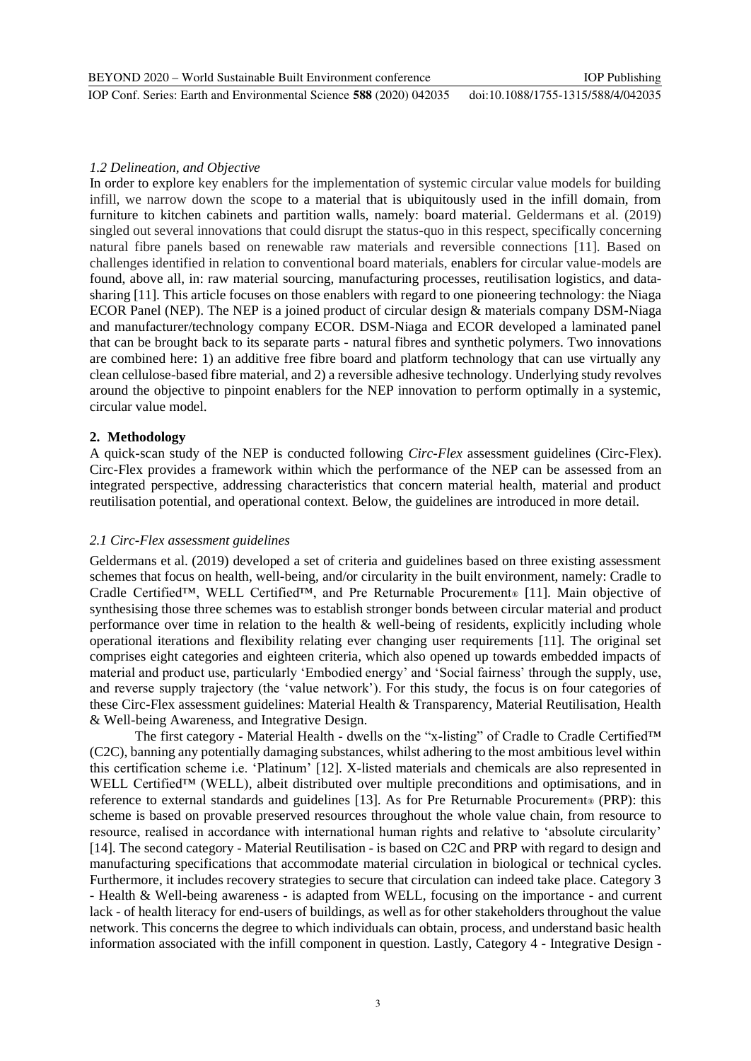### *1.2 Delineation, and Objective*

In order to explore key enablers for the implementation of systemic circular value models for building infill, we narrow down the scope to a material that is ubiquitously used in the infill domain, from furniture to kitchen cabinets and partition walls, namely: board material. Geldermans et al. (2019) singled out several innovations that could disrupt the status-quo in this respect, specifically concerning natural fibre panels based on renewable raw materials and reversible connections [11]. Based on challenges identified in relation to conventional board materials, enablers for circular value-models are found, above all, in: raw material sourcing, manufacturing processes, reutilisation logistics, and datasharing [11]. This article focuses on those enablers with regard to one pioneering technology: the Niaga ECOR Panel (NEP). The NEP is a joined product of circular design & materials company DSM-Niaga and manufacturer/technology company ECOR. DSM-Niaga and ECOR developed a laminated panel that can be brought back to its separate parts - natural fibres and synthetic polymers. Two innovations are combined here: 1) an additive free fibre board and platform technology that can use virtually any clean cellulose-based fibre material, and 2) a reversible adhesive technology. Underlying study revolves around the objective to pinpoint enablers for the NEP innovation to perform optimally in a systemic, circular value model.

#### **2. Methodology**

A quick-scan study of the NEP is conducted following *Circ-Flex* assessment guidelines (Circ-Flex). Circ-Flex provides a framework within which the performance of the NEP can be assessed from an integrated perspective, addressing characteristics that concern material health, material and product reutilisation potential, and operational context. Below, the guidelines are introduced in more detail.

### *2.1 Circ-Flex assessment guidelines*

Geldermans et al. (2019) developed a set of criteria and guidelines based on three existing assessment schemes that focus on health, well-being, and/or circularity in the built environment, namely: Cradle to Cradle Certified™, WELL Certified™, and Pre Returnable Procurement® [11]. Main objective of synthesising those three schemes was to establish stronger bonds between circular material and product performance over time in relation to the health & well-being of residents, explicitly including whole operational iterations and flexibility relating ever changing user requirements [11]. The original set comprises eight categories and eighteen criteria, which also opened up towards embedded impacts of material and product use, particularly 'Embodied energy' and 'Social fairness' through the supply, use, and reverse supply trajectory (the 'value network'). For this study, the focus is on four categories of these Circ-Flex assessment guidelines: Material Health & Transparency, Material Reutilisation, Health & Well-being Awareness, and Integrative Design.

The first category - Material Health - dwells on the "x-listing" of Cradle to Cradle Certified™ (C2C), banning any potentially damaging substances, whilst adhering to the most ambitious level within this certification scheme i.e. 'Platinum' [12]. X-listed materials and chemicals are also represented in WELL Certified™ (WELL), albeit distributed over multiple preconditions and optimisations, and in reference to external standards and guidelines [13]. As for Pre Returnable Procurement® (PRP): this scheme is based on provable preserved resources throughout the whole value chain, from resource to resource, realised in accordance with international human rights and relative to 'absolute circularity' [14]. The second category - Material Reutilisation - is based on C2C and PRP with regard to design and manufacturing specifications that accommodate material circulation in biological or technical cycles. Furthermore, it includes recovery strategies to secure that circulation can indeed take place. Category 3 - Health & Well-being awareness - is adapted from WELL, focusing on the importance - and current lack - of health literacy for end-users of buildings, as well as for other stakeholders throughout the value network. This concerns the degree to which individuals can obtain, process, and understand basic health information associated with the infill component in question. Lastly, Category 4 - Integrative Design -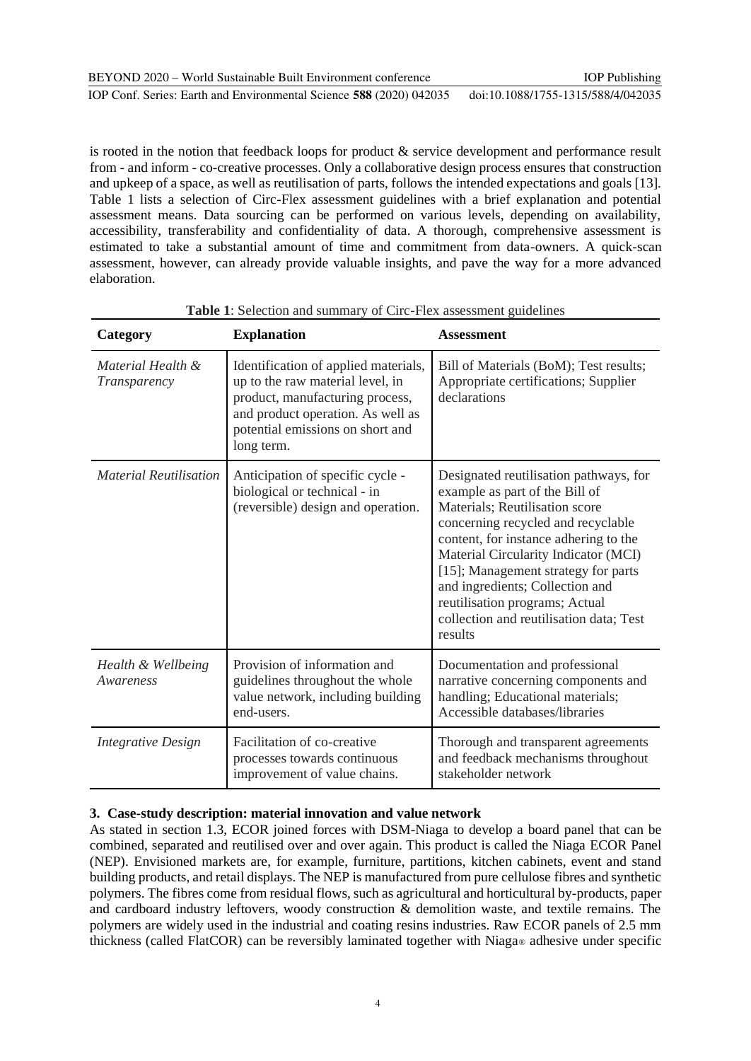is rooted in the notion that feedback loops for product  $\&$  service development and performance result from - and inform - co-creative processes. Only a collaborative design process ensures that construction and upkeep of a space, as well as reutilisation of parts, follows the intended expectations and goals [13]. Table 1 lists a selection of Circ-Flex assessment guidelines with a brief explanation and potential assessment means. Data sourcing can be performed on various levels, depending on availability, accessibility, transferability and confidentiality of data. A thorough, comprehensive assessment is estimated to take a substantial amount of time and commitment from data-owners. A quick-scan assessment, however, can already provide valuable insights, and pave the way for a more advanced elaboration.

| Category                          | <b>Explanation</b>                                                                                                                                                                                 | <b>Assessment</b>                                                                                                                                                                                                                                                                                                                                                                                   |
|-----------------------------------|----------------------------------------------------------------------------------------------------------------------------------------------------------------------------------------------------|-----------------------------------------------------------------------------------------------------------------------------------------------------------------------------------------------------------------------------------------------------------------------------------------------------------------------------------------------------------------------------------------------------|
| Material Health &<br>Transparency | Identification of applied materials,<br>up to the raw material level, in<br>product, manufacturing process,<br>and product operation. As well as<br>potential emissions on short and<br>long term. | Bill of Materials (BoM); Test results;<br>Appropriate certifications; Supplier<br>declarations                                                                                                                                                                                                                                                                                                      |
| <b>Material Reutilisation</b>     | Anticipation of specific cycle -<br>biological or technical - in<br>(reversible) design and operation.                                                                                             | Designated reutilisation pathways, for<br>example as part of the Bill of<br>Materials; Reutilisation score<br>concerning recycled and recyclable<br>content, for instance adhering to the<br>Material Circularity Indicator (MCI)<br>[15]; Management strategy for parts<br>and ingredients; Collection and<br>reutilisation programs; Actual<br>collection and reutilisation data; Test<br>results |
| Health & Wellbeing<br>Awareness   | Provision of information and<br>guidelines throughout the whole<br>value network, including building<br>end-users.                                                                                 | Documentation and professional<br>narrative concerning components and<br>handling; Educational materials;<br>Accessible databases/libraries                                                                                                                                                                                                                                                         |
| Integrative Design                | Facilitation of co-creative<br>processes towards continuous<br>improvement of value chains.                                                                                                        | Thorough and transparent agreements<br>and feedback mechanisms throughout<br>stakeholder network                                                                                                                                                                                                                                                                                                    |

**Table 1**: Selection and summary of Circ-Flex assessment guidelines

## **3. Case-study description: material innovation and value network**

As stated in section 1.3, ECOR joined forces with DSM-Niaga to develop a board panel that can be combined, separated and reutilised over and over again. This product is called the Niaga ECOR Panel (NEP). Envisioned markets are, for example, furniture, partitions, kitchen cabinets, event and stand building products, and retail displays. The NEP is manufactured from pure cellulose fibres and synthetic polymers. The fibres come from residual flows, such as agricultural and horticultural by-products, paper and cardboard industry leftovers, woody construction  $\&$  demolition waste, and textile remains. The polymers are widely used in the industrial and coating resins industries. Raw ECOR panels of 2.5 mm thickness (called FlatCOR) can be reversibly laminated together with Niaga® adhesive under specific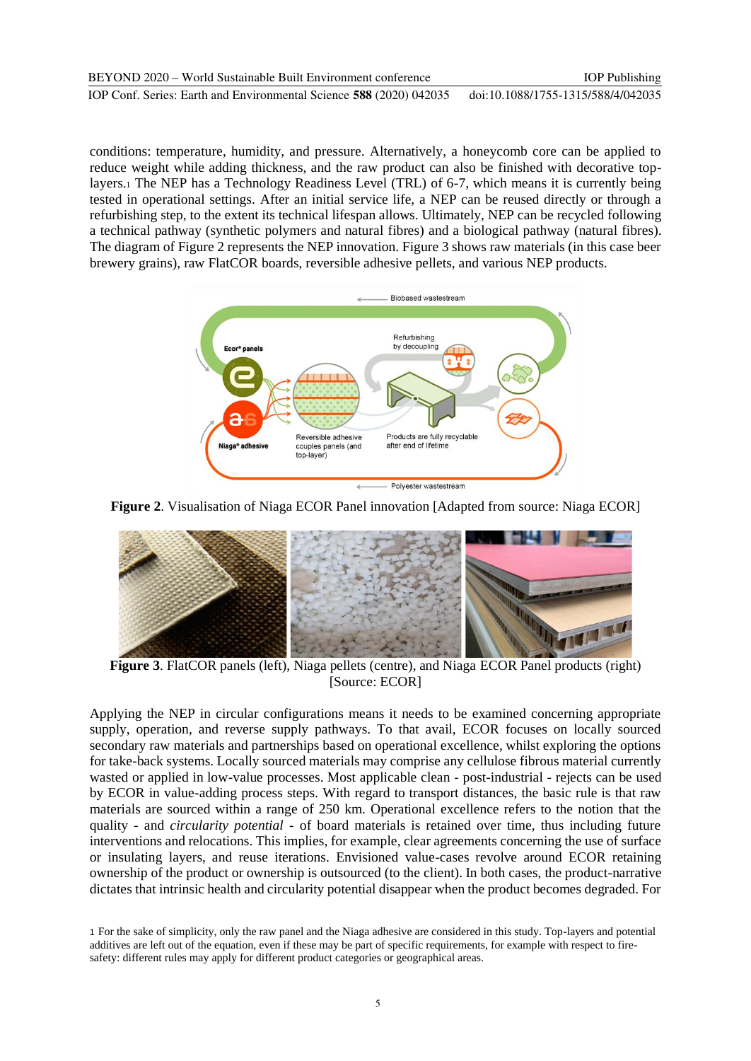conditions: temperature, humidity, and pressure. Alternatively, a honeycomb core can be applied to reduce weight while adding thickness, and the raw product can also be finished with decorative toplayers.<sup>1</sup> The NEP has a Technology Readiness Level (TRL) of 6-7, which means it is currently being tested in operational settings. After an initial service life, a NEP can be reused directly or through a refurbishing step, to the extent its technical lifespan allows. Ultimately, NEP can be recycled following a technical pathway (synthetic polymers and natural fibres) and a biological pathway (natural fibres). The diagram of Figure 2 represents the NEP innovation. Figure 3 shows raw materials (in this case beer brewery grains), raw FlatCOR boards, reversible adhesive pellets, and various NEP products.



**Figure 2**. Visualisation of Niaga ECOR Panel innovation [Adapted from source: Niaga ECOR]



**Figure 3**. FlatCOR panels (left), Niaga pellets (centre), and Niaga ECOR Panel products (right) [Source: ECOR]

Applying the NEP in circular configurations means it needs to be examined concerning appropriate supply, operation, and reverse supply pathways. To that avail, ECOR focuses on locally sourced secondary raw materials and partnerships based on operational excellence, whilst exploring the options for take-back systems. Locally sourced materials may comprise any cellulose fibrous material currently wasted or applied in low-value processes. Most applicable clean - post-industrial - rejects can be used by ECOR in value-adding process steps. With regard to transport distances, the basic rule is that raw materials are sourced within a range of 250 km. Operational excellence refers to the notion that the quality - and *circularity potential* - of board materials is retained over time, thus including future interventions and relocations. This implies, for example, clear agreements concerning the use of surface or insulating layers, and reuse iterations. Envisioned value-cases revolve around ECOR retaining ownership of the product or ownership is outsourced (to the client). In both cases, the product-narrative dictates that intrinsic health and circularity potential disappear when the product becomes degraded. For

<sup>1</sup> For the sake of simplicity, only the raw panel and the Niaga adhesive are considered in this study. Top-layers and potential additives are left out of the equation, even if these may be part of specific requirements, for example with respect to firesafety: different rules may apply for different product categories or geographical areas.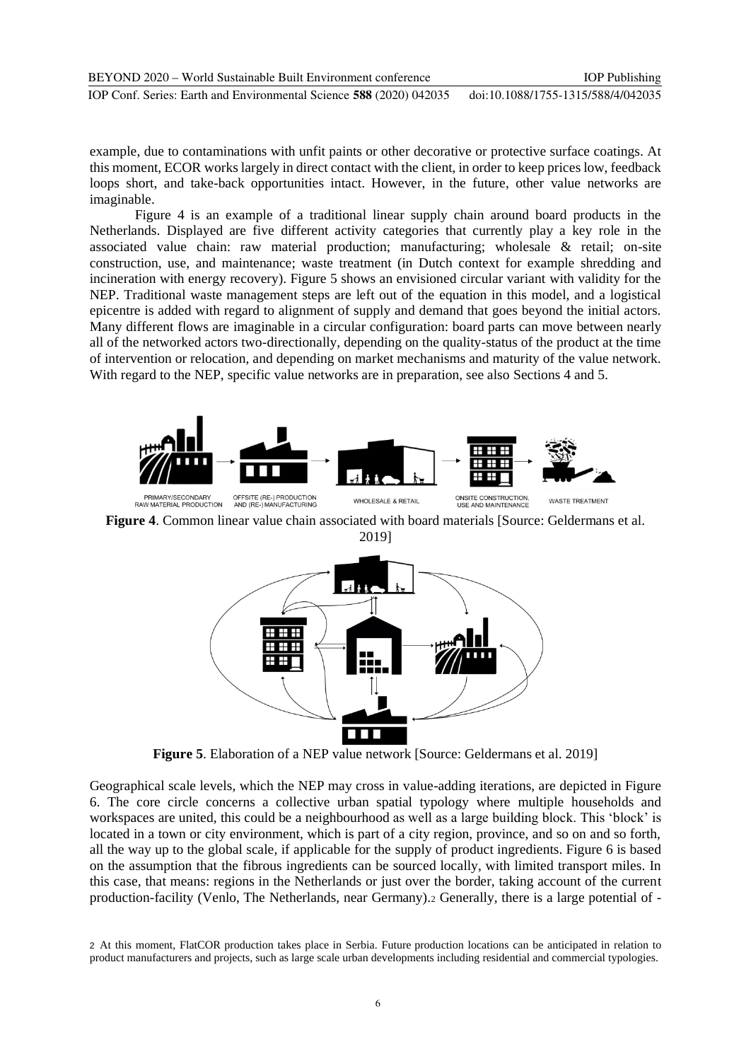example, due to contaminations with unfit paints or other decorative or protective surface coatings. At this moment, ECOR works largely in direct contact with the client, in order to keep prices low, feedback loops short, and take-back opportunities intact. However, in the future, other value networks are imaginable.

Figure 4 is an example of a traditional linear supply chain around board products in the Netherlands. Displayed are five different activity categories that currently play a key role in the associated value chain: raw material production; manufacturing; wholesale & retail; on-site construction, use, and maintenance; waste treatment (in Dutch context for example shredding and incineration with energy recovery). Figure 5 shows an envisioned circular variant with validity for the NEP. Traditional waste management steps are left out of the equation in this model, and a logistical epicentre is added with regard to alignment of supply and demand that goes beyond the initial actors. Many different flows are imaginable in a circular configuration: board parts can move between nearly all of the networked actors two-directionally, depending on the quality-status of the product at the time of intervention or relocation, and depending on market mechanisms and maturity of the value network. With regard to the NEP, specific value networks are in preparation, see also Sections 4 and 5.



**Figure 4**. Common linear value chain associated with board materials [Source: Geldermans et al. 2019]



**Figure 5**. Elaboration of a NEP value network [Source: Geldermans et al. 2019]

Geographical scale levels, which the NEP may cross in value-adding iterations, are depicted in Figure 6. The core circle concerns a collective urban spatial typology where multiple households and workspaces are united, this could be a neighbourhood as well as a large building block. This 'block' is located in a town or city environment, which is part of a city region, province, and so on and so forth, all the way up to the global scale, if applicable for the supply of product ingredients. Figure 6 is based on the assumption that the fibrous ingredients can be sourced locally, with limited transport miles. In this case, that means: regions in the Netherlands or just over the border, taking account of the current production-facility (Venlo, The Netherlands, near Germany).<sup>2</sup> Generally, there is a large potential of -

<sup>2</sup> At this moment, FlatCOR production takes place in Serbia. Future production locations can be anticipated in relation to product manufacturers and projects, such as large scale urban developments including residential and commercial typologies.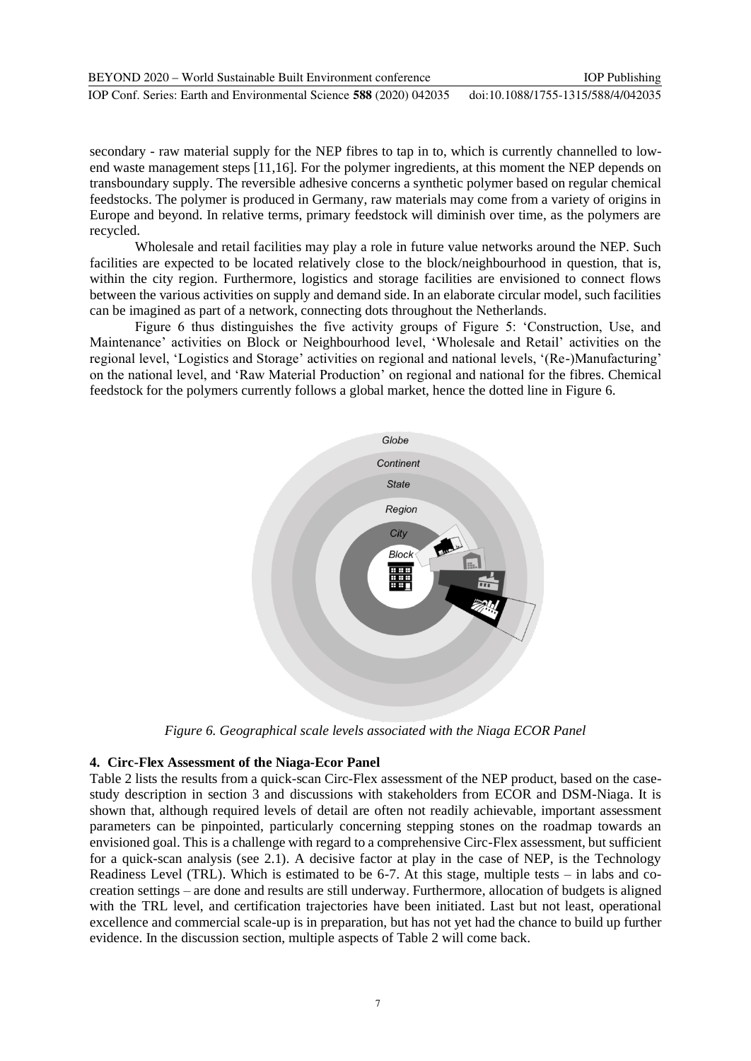| BEYOND 2020 – World Sustainable Built Environment conference        | <b>IOP</b> Publishing              |
|---------------------------------------------------------------------|------------------------------------|
| IOP Conf. Series: Earth and Environmental Science 588 (2020) 042035 | doi:10.1088/1755-1315/588/4/042035 |

secondary - raw material supply for the NEP fibres to tap in to, which is currently channelled to lowend waste management steps [11,16]. For the polymer ingredients, at this moment the NEP depends on transboundary supply. The reversible adhesive concerns a synthetic polymer based on regular chemical feedstocks. The polymer is produced in Germany, raw materials may come from a variety of origins in Europe and beyond. In relative terms, primary feedstock will diminish over time, as the polymers are recycled.

Wholesale and retail facilities may play a role in future value networks around the NEP. Such facilities are expected to be located relatively close to the block/neighbourhood in question, that is, within the city region. Furthermore, logistics and storage facilities are envisioned to connect flows between the various activities on supply and demand side. In an elaborate circular model, such facilities can be imagined as part of a network, connecting dots throughout the Netherlands.

Figure 6 thus distinguishes the five activity groups of Figure 5: 'Construction, Use, and Maintenance' activities on Block or Neighbourhood level, 'Wholesale and Retail' activities on the regional level, 'Logistics and Storage' activities on regional and national levels, '(Re-)Manufacturing' on the national level, and 'Raw Material Production' on regional and national for the fibres. Chemical feedstock for the polymers currently follows a global market, hence the dotted line in Figure 6.



*Figure 6. Geographical scale levels associated with the Niaga ECOR Panel* 

### **4. Circ-Flex Assessment of the Niaga-Ecor Panel**

Table 2 lists the results from a quick-scan Circ-Flex assessment of the NEP product, based on the casestudy description in section 3 and discussions with stakeholders from ECOR and DSM-Niaga. It is shown that, although required levels of detail are often not readily achievable, important assessment parameters can be pinpointed, particularly concerning stepping stones on the roadmap towards an envisioned goal. This is a challenge with regard to a comprehensive Circ-Flex assessment, but sufficient for a quick-scan analysis (see 2.1). A decisive factor at play in the case of NEP, is the Technology Readiness Level (TRL). Which is estimated to be 6-7. At this stage, multiple tests – in labs and cocreation settings – are done and results are still underway. Furthermore, allocation of budgets is aligned with the TRL level, and certification trajectories have been initiated. Last but not least, operational excellence and commercial scale-up is in preparation, but has not yet had the chance to build up further evidence. In the discussion section, multiple aspects of Table 2 will come back.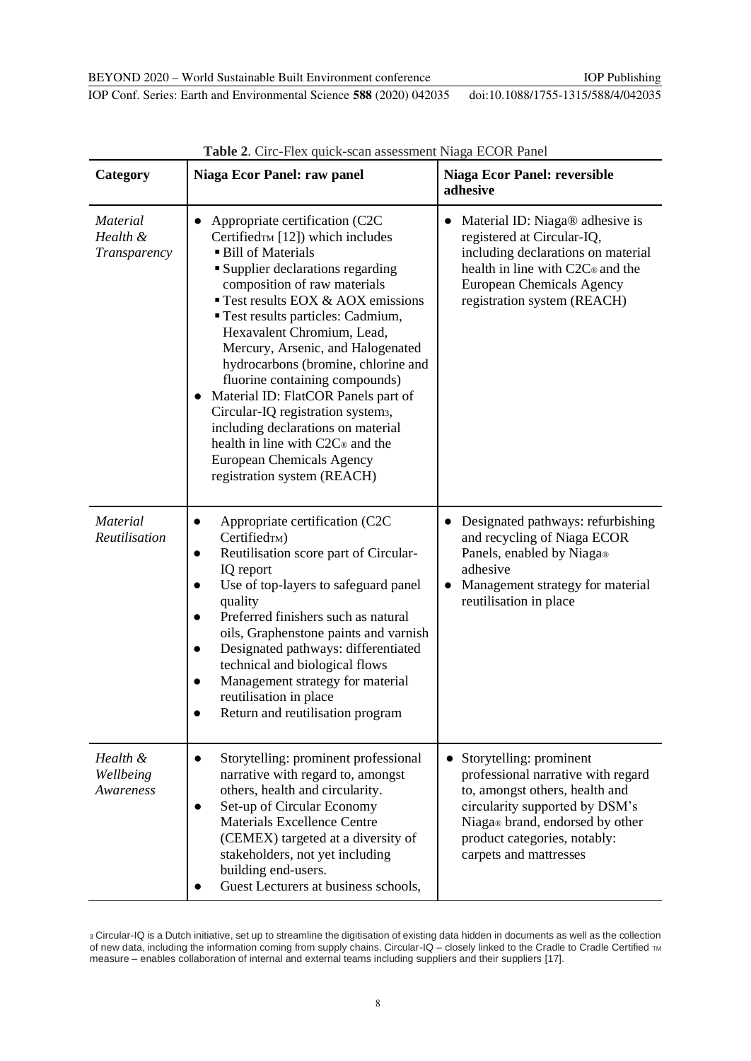IOP Conf. Series: Earth and Environmental Science **588** (2020) 042035 doi:10.1088/1755-1315/588/4/042035

| Category                                    | <b>Table 2.</b> CITC-TTEX QUICK-SCAIL ASSESSMENT INTAGA LCOIN FAITER<br><b>Niaga Ecor Panel: raw panel</b>                                                                                                                                                                                                                                                                                                                                                                                                                                                                                                                                | <b>Niaga Ecor Panel: reversible</b><br>adhesive                                                                                                                                                                                |
|---------------------------------------------|-------------------------------------------------------------------------------------------------------------------------------------------------------------------------------------------------------------------------------------------------------------------------------------------------------------------------------------------------------------------------------------------------------------------------------------------------------------------------------------------------------------------------------------------------------------------------------------------------------------------------------------------|--------------------------------------------------------------------------------------------------------------------------------------------------------------------------------------------------------------------------------|
| <i>Material</i><br>Health &<br>Transparency | Appropriate certification (C2C)<br>Certifiedтм [12]) which includes<br><b>Bill of Materials</b><br><b>Supplier declarations regarding</b><br>composition of raw materials<br>Test results EOX & AOX emissions<br><b>Test results particles: Cadmium,</b><br>Hexavalent Chromium, Lead,<br>Mercury, Arsenic, and Halogenated<br>hydrocarbons (bromine, chlorine and<br>fluorine containing compounds)<br>Material ID: FlatCOR Panels part of<br>Circular-IQ registration systems,<br>including declarations on material<br>health in line with C2C <sup>®</sup> and the<br><b>European Chemicals Agency</b><br>registration system (REACH) | Material ID: Niaga® adhesive is<br>registered at Circular-IQ,<br>including declarations on material<br>health in line with C2C® and the<br><b>European Chemicals Agency</b><br>registration system (REACH)                     |
| <b>Material</b><br>Reutilisation            | Appropriate certification (C2C)<br>$\bullet$<br>Certified <sub>TM</sub> )<br>Reutilisation score part of Circular-<br>$\bullet$<br>IQ report<br>Use of top-layers to safeguard panel<br>quality<br>Preferred finishers such as natural<br>oils, Graphenstone paints and varnish<br>Designated pathways: differentiated<br>$\bullet$<br>technical and biological flows<br>Management strategy for material<br>reutilisation in place<br>Return and reutilisation program                                                                                                                                                                   | Designated pathways: refurbishing<br>and recycling of Niaga ECOR<br>Panels, enabled by Niaga®<br>adhesive<br>Management strategy for material<br>reutilisation in place                                                        |
| Health &<br>Wellbeing<br>Awareness          | Storytelling: prominent professional<br>$\bullet$<br>narrative with regard to, amongst<br>others, health and circularity.<br>Set-up of Circular Economy<br><b>Materials Excellence Centre</b><br>(CEMEX) targeted at a diversity of<br>stakeholders, not yet including<br>building end-users.<br>Guest Lecturers at business schools,                                                                                                                                                                                                                                                                                                     | Storytelling: prominent<br>professional narrative with regard<br>to, amongst others, health and<br>circularity supported by DSM's<br>Niaga® brand, endorsed by other<br>product categories, notably:<br>carpets and mattresses |

**Table 2**. Circ-Flex quick-scan assessment Niaga ECOR Panel

<sup>3</sup> Circular-IQ is a Dutch initiative, set up to streamline the digitisation of existing data hidden in documents as well as the collection of new data, including the information coming from supply chains. Circular-IQ – closely linked to the Cradle to Cradle Certified TM measure – enables collaboration of internal and external teams including suppliers and their suppliers [17].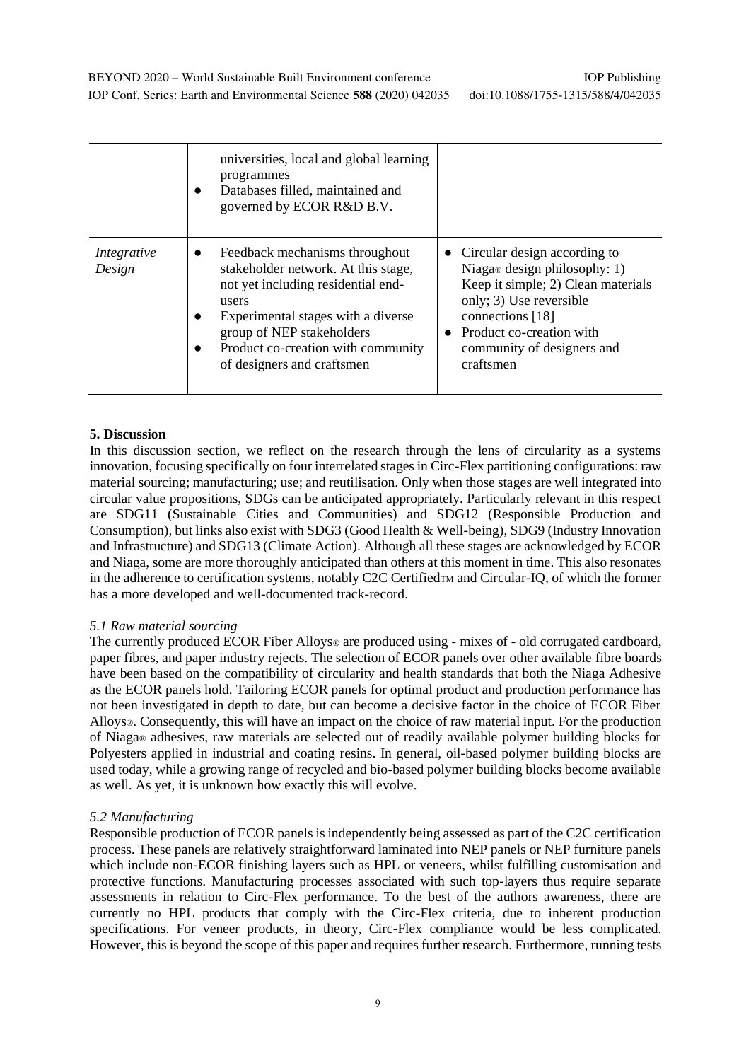IOP Publishing

IOP Conf. Series: Earth and Environmental Science **588** (2020) 042035 doi:10.1088/1755-1315/588/4/042035

|                       | universities, local and global learning<br>programmes<br>Databases filled, maintained and<br>governed by ECOR R&D B.V.                                                                                                                                                   |                                                                                                                                                                                                                          |  |  |
|-----------------------|--------------------------------------------------------------------------------------------------------------------------------------------------------------------------------------------------------------------------------------------------------------------------|--------------------------------------------------------------------------------------------------------------------------------------------------------------------------------------------------------------------------|--|--|
| Integrative<br>Design | Feedback mechanisms throughout<br>$\bullet$<br>stakeholder network. At this stage,<br>not yet including residential end-<br>users<br>Experimental stages with a diverse<br>group of NEP stakeholders<br>Product co-creation with community<br>of designers and craftsmen | Circular design according to<br>Niaga® design philosophy: 1)<br>Keep it simple; 2) Clean materials<br>only; 3) Use reversible<br>connections [18]<br>Product co-creation with<br>community of designers and<br>craftsmen |  |  |

### **5. Discussion**

In this discussion section, we reflect on the research through the lens of circularity as a systems innovation, focusing specifically on four interrelated stages in Circ-Flex partitioning configurations: raw material sourcing; manufacturing; use; and reutilisation. Only when those stages are well integrated into circular value propositions, SDGs can be anticipated appropriately. Particularly relevant in this respect are SDG11 (Sustainable Cities and Communities) and SDG12 (Responsible Production and Consumption), but links also exist with SDG3 (Good Health & Well-being), SDG9 (Industry Innovation and Infrastructure) and SDG13 (Climate Action). Although all these stages are acknowledged by ECOR and Niaga, some are more thoroughly anticipated than others at this moment in time. This also resonates in the adherence to certification systems, notably C2C CertifiedTM and Circular-IQ, of which the former has a more developed and well-documented track-record.

### *5.1 Raw material sourcing*

The currently produced ECOR Fiber Alloys<sup>®</sup> are produced using - mixes of - old corrugated cardboard, paper fibres, and paper industry rejects. The selection of ECOR panels over other available fibre boards have been based on the compatibility of circularity and health standards that both the Niaga Adhesive as the ECOR panels hold. Tailoring ECOR panels for optimal product and production performance has not been investigated in depth to date, but can become a decisive factor in the choice of ECOR Fiber Alloys®. Consequently, this will have an impact on the choice of raw material input. For the production of Niaga® adhesives, raw materials are selected out of readily available polymer building blocks for Polyesters applied in industrial and coating resins. In general, oil-based polymer building blocks are used today, while a growing range of recycled and bio-based polymer building blocks become available as well. As yet, it is unknown how exactly this will evolve.

### *5.2 Manufacturing*

Responsible production of ECOR panels is independently being assessed as part of the C2C certification process. These panels are relatively straightforward laminated into NEP panels or NEP furniture panels which include non-ECOR finishing layers such as HPL or veneers, whilst fulfilling customisation and protective functions. Manufacturing processes associated with such top-layers thus require separate assessments in relation to Circ-Flex performance. To the best of the authors awareness, there are currently no HPL products that comply with the Circ-Flex criteria, due to inherent production specifications. For veneer products, in theory, Circ-Flex compliance would be less complicated. However, this is beyond the scope of this paper and requires further research. Furthermore, running tests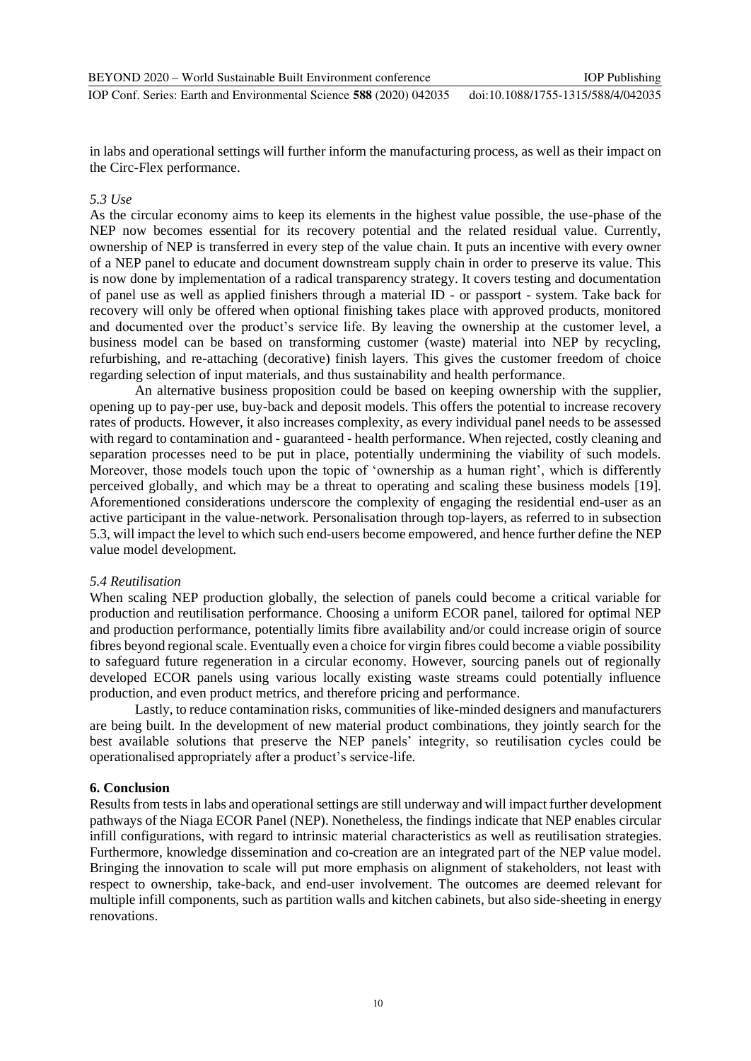in labs and operational settings will further inform the manufacturing process, as well as their impact on the Circ-Flex performance.

### *5.3 Use*

As the circular economy aims to keep its elements in the highest value possible, the use-phase of the NEP now becomes essential for its recovery potential and the related residual value. Currently, ownership of NEP is transferred in every step of the value chain. It puts an incentive with every owner of a NEP panel to educate and document downstream supply chain in order to preserve its value. This is now done by implementation of a radical transparency strategy. It covers testing and documentation of panel use as well as applied finishers through a material ID - or passport - system. Take back for recovery will only be offered when optional finishing takes place with approved products, monitored and documented over the product's service life. By leaving the ownership at the customer level, a business model can be based on transforming customer (waste) material into NEP by recycling, refurbishing, and re-attaching (decorative) finish layers. This gives the customer freedom of choice regarding selection of input materials, and thus sustainability and health performance.

An alternative business proposition could be based on keeping ownership with the supplier, opening up to pay-per use, buy-back and deposit models. This offers the potential to increase recovery rates of products. However, it also increases complexity, as every individual panel needs to be assessed with regard to contamination and - guaranteed - health performance. When rejected, costly cleaning and separation processes need to be put in place, potentially undermining the viability of such models. Moreover, those models touch upon the topic of 'ownership as a human right', which is differently perceived globally, and which may be a threat to operating and scaling these business models [19]. Aforementioned considerations underscore the complexity of engaging the residential end-user as an active participant in the value-network. Personalisation through top-layers, as referred to in subsection 5.3, will impact the level to which such end-users become empowered, and hence further define the NEP value model development.

### *5.4 Reutilisation*

When scaling NEP production globally, the selection of panels could become a critical variable for production and reutilisation performance. Choosing a uniform ECOR panel, tailored for optimal NEP and production performance, potentially limits fibre availability and/or could increase origin of source fibres beyond regional scale. Eventually even a choice for virgin fibres could become a viable possibility to safeguard future regeneration in a circular economy. However, sourcing panels out of regionally developed ECOR panels using various locally existing waste streams could potentially influence production, and even product metrics, and therefore pricing and performance.

Lastly, to reduce contamination risks, communities of like-minded designers and manufacturers are being built. In the development of new material product combinations, they jointly search for the best available solutions that preserve the NEP panels' integrity, so reutilisation cycles could be operationalised appropriately after a product's service-life.

### **6. Conclusion**

Results from tests in labs and operational settings are still underway and will impact further development pathways of the Niaga ECOR Panel (NEP). Nonetheless, the findings indicate that NEP enables circular infill configurations, with regard to intrinsic material characteristics as well as reutilisation strategies. Furthermore, knowledge dissemination and co-creation are an integrated part of the NEP value model. Bringing the innovation to scale will put more emphasis on alignment of stakeholders, not least with respect to ownership, take-back, and end-user involvement. The outcomes are deemed relevant for multiple infill components, such as partition walls and kitchen cabinets, but also side-sheeting in energy renovations.